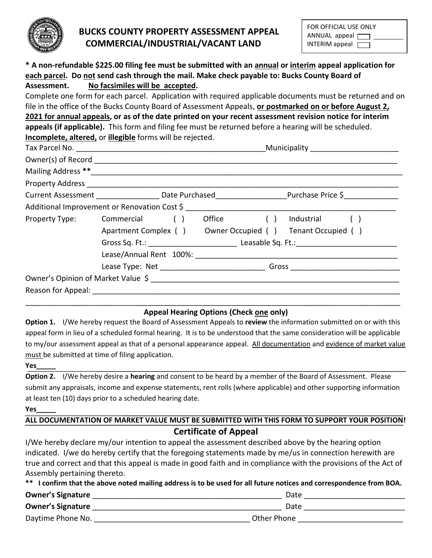

# **BUCKS COUNTY PROPERTY ASSESSMENT APPEAL COMMERCIAL/INDUSTRIAL/VACANT LAND**

| FOR OFFICIAL USE ONLY |  |
|-----------------------|--|
| ANNUAL appeal         |  |
| INTERIM appeal        |  |

# **\* A non-refundable \$225.00 filing fee must be submitted with an annual or interim appeal application for each parcel. Do not send cash through the mail. Make check payable to: Bucks County Board of Assessment. No facsimiles will be accepted.**

Complete one form for each parcel. Application with required applicable documents must be returned and on file in the office of the Bucks County Board of Assessment Appeals, **or postmarked on or before August 2, 2021 for annual appeals, or as of the date printed on your recent assessment revision notice for interim appeals (if applicable).** This form and filing fee must be returned before a hearing will be scheduled. **Incomplete, altered,** or **illegible** forms will be rejected.

|                                              |                                                           |  |                                                                                               | Current Assessment _____________________Date Purchased_____________________Purchase Price \$_______________ |              |  |
|----------------------------------------------|-----------------------------------------------------------|--|-----------------------------------------------------------------------------------------------|-------------------------------------------------------------------------------------------------------------|--------------|--|
| Additional Improvement or Renovation Cost \$ |                                                           |  |                                                                                               |                                                                                                             |              |  |
| Property Type: Commercial ()                 |                                                           |  | Office ()                                                                                     |                                                                                                             | Industrial ( |  |
|                                              | Apartment Complex () Owner Occupied () Tenant Occupied () |  |                                                                                               |                                                                                                             |              |  |
|                                              |                                                           |  | Gross Sq. Ft.: Campion Leasable Sq. Ft.: Campion Contract Contract Contract Leasable Sq. Ft.: |                                                                                                             |              |  |
|                                              |                                                           |  |                                                                                               |                                                                                                             |              |  |
|                                              |                                                           |  |                                                                                               |                                                                                                             |              |  |
|                                              |                                                           |  |                                                                                               |                                                                                                             |              |  |
|                                              |                                                           |  |                                                                                               |                                                                                                             |              |  |
|                                              |                                                           |  |                                                                                               |                                                                                                             |              |  |

## **Appeal Hearing Options (Check one only)**

**Option 1.** I/We hereby request the Board of Assessment Appeals to **review** the information submitted on or with this appeal form in lieu of a scheduled formal hearing. It is to be understood that the same consideration will be applicable to my/our assessment appeal as that of a personal appearance appeal. All documentation and evidence of market value must be submitted at time of filing application.

**Yes\_\_\_\_\_**

**Option 2.** I/We hereby desire a **hearing** and consent to be heard by a member of the Board of Assessment. Please submit any appraisals, income and expense statements, rent rolls (where applicable) and other supporting information at least ten (10) days prior to a scheduled hearing date.

**Yes\_\_\_\_\_**

# **ALL DOCUMENTATION OF MARKET VALUE MUST BE SUBMITTED WITH THIS FORM TO SUPPORT YOUR POSITION! Certificate of Appeal**

I/We hereby declare my/our intention to appeal the assessment described above by the hearing option indicated. I/we do hereby certify that the foregoing statements made by me/us in connection herewith are true and correct and that this appeal is made in good faith and in compliance with the provisions of the Act of Assembly pertaining thereto.

| ** I confirm that the above noted mailing address is to be used for all future notices and correspondence from BOA. |             |  |  |  |  |  |
|---------------------------------------------------------------------------------------------------------------------|-------------|--|--|--|--|--|
| <b>Owner's Signature</b>                                                                                            | Date        |  |  |  |  |  |
| <b>Owner's Signature</b>                                                                                            | Date        |  |  |  |  |  |
| Daytime Phone No.                                                                                                   | Other Phone |  |  |  |  |  |